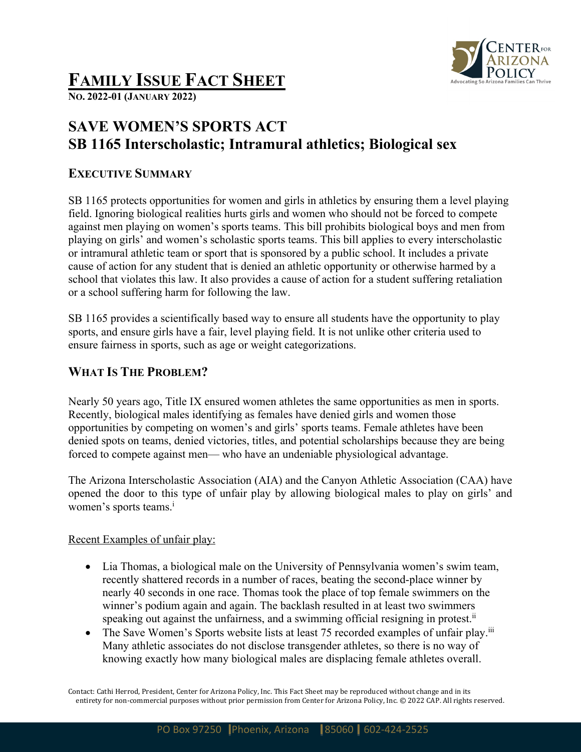

# **FAMILY ISSUE FACT SHEET**

**NO. 2022-01 (JANUARY 2022)**

## **SAVE WOMEN'S SPORTS ACT SB 1165 Interscholastic; Intramural athletics; Biological sex**

#### **EXECUTIVE SUMMARY**

SB 1165 protects opportunities for women and girls in athletics by ensuring them a level playing field. Ignoring biological realities hurts girls and women who should not be forced to compete against men playing on women's sports teams. This bill prohibits biological boys and men from playing on girls' and women's scholastic sports teams. This bill applies to every interscholastic or intramural athletic team or sport that is sponsored by a public school. It includes a private cause of action for any student that is denied an athletic opportunity or otherwise harmed by a school that violates this law. It also provides a cause of action for a student suffering retaliation or a school suffering harm for following the law.

SB 1165 provides a scientifically based way to ensure all students have the opportunity to play sports, and ensure girls have a fair, level playing field. It is not unlike other criteria used to ensure fairness in sports, such as age or weight categorizations.

### **WHAT IS THE PROBLEM?**

Nearly 50 years ago, Title IX ensured women athletes the same opportunities as men in sports. Recently, biological males identifying as females have denied girls and women those opportunities by competing on women's and girls' sports teams. Female athletes have been denied spots on teams, denied victories, titles, and potential scholarships because they are being forced to compete against men— who have an undeniable physiological advantage.

The Arizona Interscholastic Association (AIA) and the Canyon Athletic Association (CAA) have opened the door to this type of unfair play by allowing biological males to play on girls' and women's sports teams.<sup>i</sup>

#### Recent Examples of unfair play:

- Lia Thomas, a biological male on the University of Pennsylvania women's swim team, recently shattered records in a number of races, beating the second-place winner by nearly 40 seconds in one race. Thomas took the place of top female swimmers on the winner's podium again and again. The backlash resulted in at least two swimmers speaking out against the unfairness, and a swimming official resigning in protest.<sup>ii</sup>
- The Save Women's Sports website lists at least 75 recorded examples of unfair play.<sup>iii</sup> Many athletic associates do not disclose transgender athletes, so there is no way of knowing exactly how many biological males are displacing female athletes overall.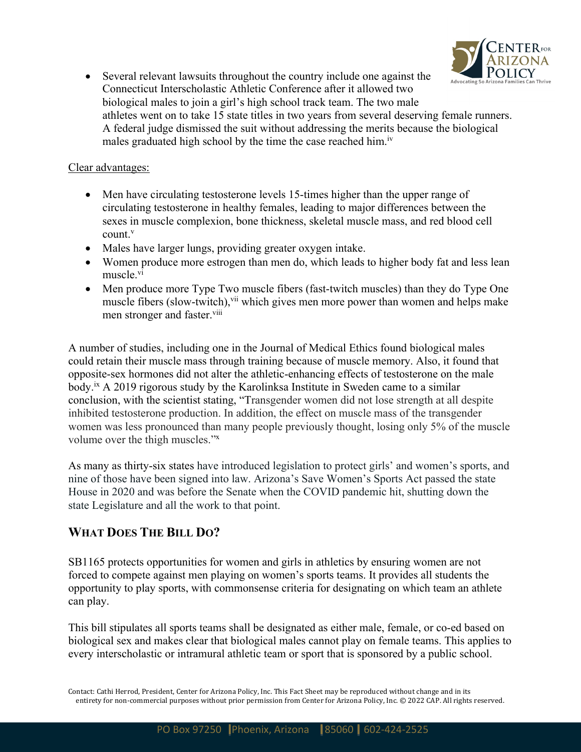

• Several relevant lawsuits throughout the country include one against the Connecticut Interscholastic Athletic Conference after it allowed two biological males to join a girl's high school track team. The two male athletes went on to take 15 state titles in two years from several deserving female runners. A federal judge dismissed the suit without addressing the merits because the biological males graduated high school by the time the case reached him.<sup>iv</sup>

#### Clear advantages:

- Men have circulating testosterone levels 15-times higher than the upper range of circulating testosterone in healthy females, leading to major differences between the sexes in muscle complexion, bone thickness, skeletal muscle mass, and red blood cell count.v
- Males have larger lungs, providing greater oxygen intake.
- Women produce more estrogen than men do, which leads to higher body fat and less lean muscle.vi
- Men produce more Type Two muscle fibers (fast-twitch muscles) than they do Type One muscle fibers (slow-twitch),<sup>vii</sup> which gives men more power than women and helps make men stronger and faster.<sup>viii</sup>

A number of studies, including one in the Journal of Medical Ethics found biological males could retain their muscle mass through training because of muscle memory. Also, it found that opposite-sex hormones did not alter the athletic-enhancing effects of testosterone on the male body.<sup>ix</sup> A 2019 rigorous study by the Karolinksa Institute in Sweden came to a similar conclusion, with the scientist stating, "Transgender women did not lose strength at all despite inhibited testosterone production. In addition, the effect on muscle mass of the transgender women was less pronounced than many people previously thought, losing only 5% of the muscle volume over the thigh muscles."x

As many as thirty-six states have introduced legislation to protect girls' and women's sports, and nine of those have been signed into law. Arizona's Save Women's Sports Act passed the state House in 2020 and was before the Senate when the COVID pandemic hit, shutting down the state Legislature and all the work to that point.

#### **WHAT DOES THE BILL DO?**

SB1165 protects opportunities for women and girls in athletics by ensuring women are not forced to compete against men playing on women's sports teams. It provides all students the opportunity to play sports, with commonsense criteria for designating on which team an athlete can play.

This bill stipulates all sports teams shall be designated as either male, female, or co-ed based on biological sex and makes clear that biological males cannot play on female teams. This applies to every interscholastic or intramural athletic team or sport that is sponsored by a public school.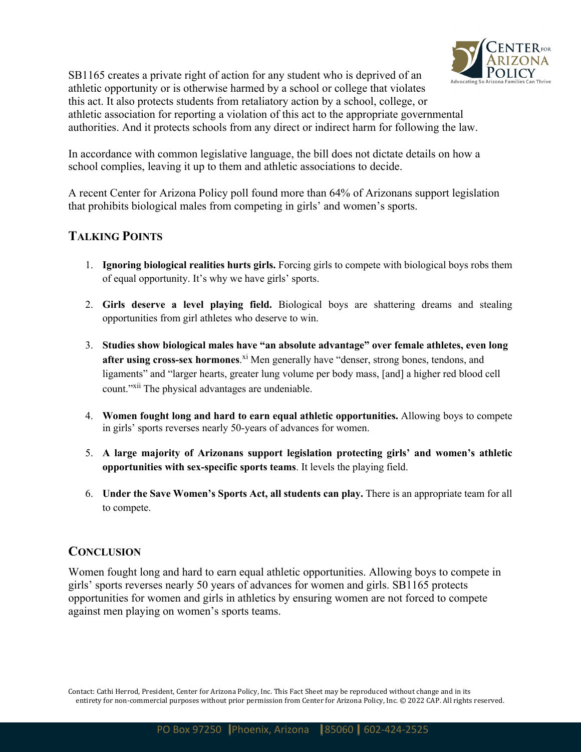

SB1165 creates a private right of action for any student who is deprived of an athletic opportunity or is otherwise harmed by a school or college that violates this act. It also protects students from retaliatory action by a school, college, or athletic association for reporting a violation of this act to the appropriate governmental authorities. And it protects schools from any direct or indirect harm for following the law.

In accordance with common legislative language, the bill does not dictate details on how a school complies, leaving it up to them and athletic associations to decide.

A recent Center for Arizona Policy poll found more than 64% of Arizonans support legislation that prohibits biological males from competing in girls' and women's sports.

#### **TALKING POINTS**

- 1. **Ignoring biological realities hurts girls.** Forcing girls to compete with biological boys robs them of equal opportunity. It's why we have girls' sports.
- 2. **Girls deserve a level playing field.** Biological boys are shattering dreams and stealing opportunities from girl athletes who deserve to win.
- 3. **Studies show biological males have "an absolute advantage" over female athletes, even long after using cross-sex hormones**.<sup>xi</sup> Men generally have "denser, strong bones, tendons, and ligaments" and "larger hearts, greater lung volume per body mass, [and] a higher red blood cell count."<sup>xii</sup> The physical advantages are undeniable.
- 4. **Women fought long and hard to earn equal athletic opportunities.** Allowing boys to compete in girls' sports reverses nearly 50-years of advances for women.
- 5. **A large majority of Arizonans support legislation protecting girls' and women's athletic opportunities with sex-specific sports teams**. It levels the playing field.
- 6. **Under the Save Women's Sports Act, all students can play.** There is an appropriate team for all to compete.

#### **CONCLUSION**

Women fought long and hard to earn equal athletic opportunities. Allowing boys to compete in girls' sports reverses nearly 50 years of advances for women and girls. SB1165 protects opportunities for women and girls in athletics by ensuring women are not forced to compete against men playing on women's sports teams.